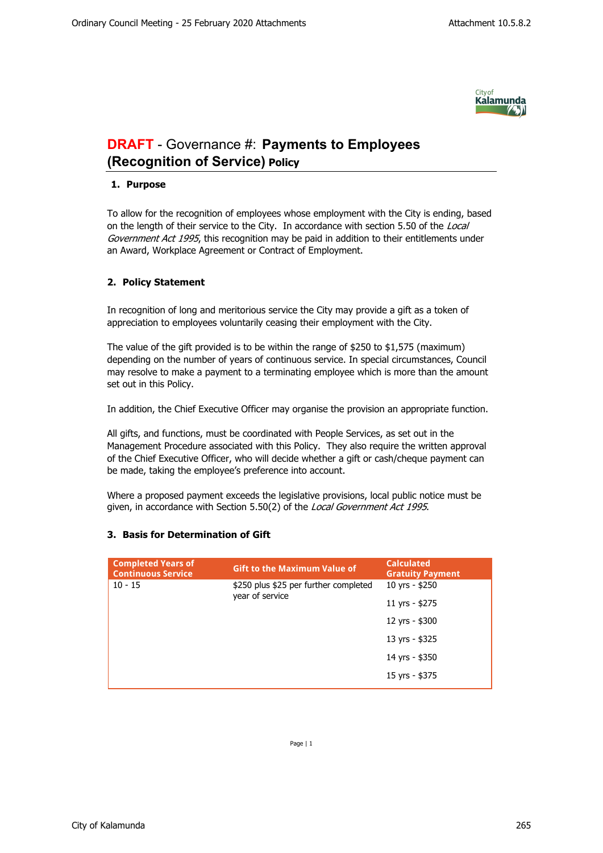

## **DRAFT** - Governance #: **Payments to Employees (Recognition of Service) Policy**

## **1. Purpose**

To allow for the recognition of employees whose employment with the City is ending, based on the length of their service to the City. In accordance with section 5.50 of the *Local Government Act 1995*, this recognition may be paid in addition to their entitlements under an Award, Workplace Agreement or Contract of Employment.

## **2. Policy Statement**

In recognition of long and meritorious service the City may provide a gift as a token of appreciation to employees voluntarily ceasing their employment with the City.

The value of the gift provided is to be within the range of \$250 to \$1,575 (maximum) depending on the number of years of continuous service. In special circumstances, Council may resolve to make a payment to a terminating employee which is more than the amount set out in this Policy.

In addition, the Chief Executive Officer may organise the provision an appropriate function.

All gifts, and functions, must be coordinated with People Services, as set out in the Management Procedure associated with this Policy. They also require the written approval of the Chief Executive Officer, who will decide whether a gift or cash/cheque payment can be made, taking the employee's preference into account.

Where a proposed payment exceeds the legislative provisions, local public notice must be given, in accordance with Section 5.50(2) of the *Local Government Act 1995*.

## **3. Basis for Determination of Gift**

| <b>Completed Years of</b><br><b>Continuous Service</b> | <b>Gift to the Maximum Value of</b>                      | <b>Calculated</b><br><b>Gratuity Payment</b> |
|--------------------------------------------------------|----------------------------------------------------------|----------------------------------------------|
| $10 - 15$                                              | \$250 plus \$25 per further completed<br>year of service | 10 yrs - \$250                               |
|                                                        |                                                          | 11 yrs - \$275                               |
|                                                        |                                                          | 12 yrs - \$300                               |
|                                                        |                                                          | 13 yrs - \$325                               |
|                                                        |                                                          | 14 yrs - \$350                               |
|                                                        |                                                          | 15 yrs - \$375                               |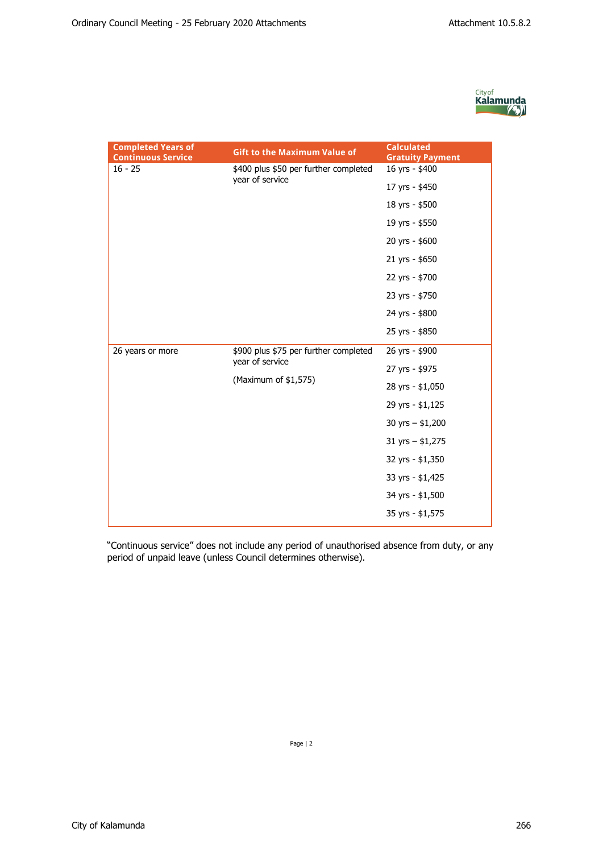

| <b>Completed Years of</b><br><b>Continuous Service</b> | <b>Gift to the Maximum Value of</b>                                              | <b>Calculated</b><br><b>Gratuity Payment</b> |
|--------------------------------------------------------|----------------------------------------------------------------------------------|----------------------------------------------|
| $16 - 25$                                              | \$400 plus \$50 per further completed<br>year of service                         | 16 yrs - \$400                               |
|                                                        |                                                                                  | 17 yrs - \$450                               |
|                                                        |                                                                                  | 18 yrs - \$500                               |
|                                                        |                                                                                  | 19 yrs - \$550                               |
|                                                        |                                                                                  | 20 yrs - \$600                               |
|                                                        |                                                                                  | 21 yrs - \$650                               |
|                                                        |                                                                                  | 22 yrs - \$700                               |
|                                                        |                                                                                  | 23 yrs - \$750                               |
|                                                        |                                                                                  | 24 yrs - \$800                               |
|                                                        |                                                                                  | 25 yrs - \$850                               |
| 26 years or more                                       | \$900 plus \$75 per further completed<br>year of service<br>(Maximum of \$1,575) | 26 yrs - \$900                               |
|                                                        |                                                                                  | 27 yrs - \$975                               |
|                                                        |                                                                                  | 28 yrs - \$1,050                             |
|                                                        |                                                                                  | 29 yrs - \$1,125                             |
|                                                        |                                                                                  | 30 yrs $-$ \$1,200                           |
|                                                        |                                                                                  | $31$ yrs - \$1,275                           |
|                                                        |                                                                                  | 32 yrs - \$1,350                             |
|                                                        |                                                                                  | 33 yrs - \$1,425                             |
|                                                        |                                                                                  | 34 yrs - \$1,500                             |
|                                                        |                                                                                  | 35 yrs - \$1,575                             |

"Continuous service" does not include any period of unauthorised absence from duty, or any period of unpaid leave (unless Council determines otherwise).